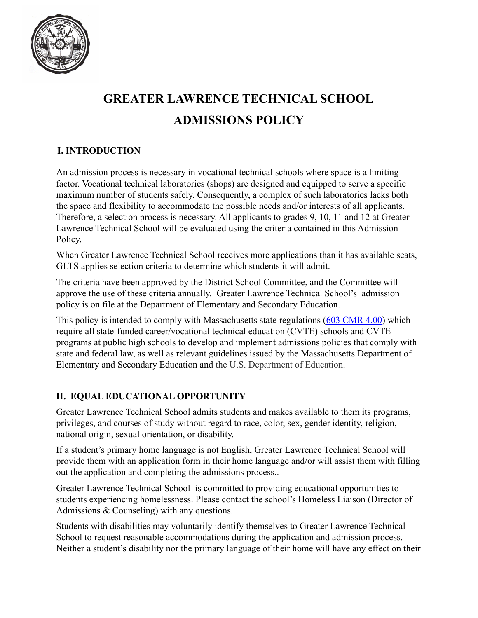

# **GREATER LAWRENCE TECHNICAL SCHOOL ADMISSIONS POLICY**

# **I. INTRODUCTION**

An admission process is necessary in vocational technical schools where space is a limiting factor. Vocational technical laboratories (shops) are designed and equipped to serve a specific maximum number of students safely. Consequently, a complex of such laboratories lacks both the space and flexibility to accommodate the possible needs and/or interests of all applicants. Therefore, a selection process is necessary. All applicants to grades 9, 10, 11 and 12 at Greater Lawrence Technical School will be evaluated using the criteria contained in this Admission Policy.

When Greater Lawrence Technical School receives more applications than it has available seats, GLTS applies selection criteria to determine which students it will admit.

The criteria have been approved by the District School Committee, and the Committee will approve the use of these criteria annually. Greater Lawrence Technical School's admission policy is on file at the Department of Elementary and Secondary Education.

This policy is intended to comply with Massachusetts state regulations (603 CMR 4.00) which require all state-funded career/vocational technical education (CVTE) schools and CVTE programs at public high schools to develop and implement admissions policies that comply with state and federal law, as well as relevant guidelines issued by the Massachusetts Department of Elementary and Secondary Education and the U.S. Department of Education.

# **II. EQUAL EDUCATIONAL OPPORTUNITY**

Greater Lawrence Technical School admits students and makes available to them its programs, privileges, and courses of study without regard to race, color, sex, gender identity, religion, national origin, sexual orientation, or disability.

If a student's primary home language is not English, Greater Lawrence Technical School will provide them with an application form in their home language and/or will assist them with filling out the application and completing the admissions process..

Greater Lawrence Technical School is committed to providing educational opportunities to students experiencing homelessness. Please contact the school's Homeless Liaison (Director of Admissions & Counseling) with any questions.

Students with disabilities may voluntarily identify themselves to Greater Lawrence Technical School to request reasonable accommodations during the application and admission process. Neither a student's disability nor the primary language of their home will have any effect on their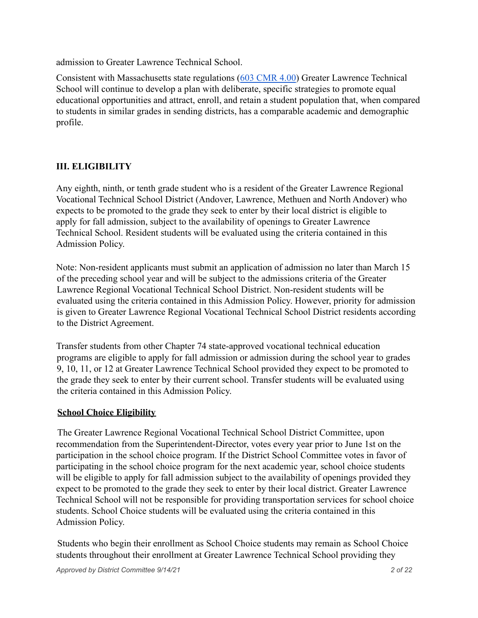admission to Greater Lawrence Technical School.

Consistent with Massachusetts state regulations (603 CMR 4.00) Greater Lawrence Technical School will continue to develop a plan with deliberate, specific strategies to promote equal educational opportunities and attract, enroll, and retain a student population that, when compared to students in similar grades in sending districts, has a comparable academic and demographic profile.

### **III. ELIGIBILITY**

Any eighth, ninth, or tenth grade student who is a resident of the Greater Lawrence Regional Vocational Technical School District (Andover, Lawrence, Methuen and North Andover) who expects to be promoted to the grade they seek to enter by their local district is eligible to apply for fall admission, subject to the availability of openings to Greater Lawrence Technical School. Resident students will be evaluated using the criteria contained in this Admission Policy.

Note: Non-resident applicants must submit an application of admission no later than March 15 of the preceding school year and will be subject to the admissions criteria of the Greater Lawrence Regional Vocational Technical School District. Non-resident students will be evaluated using the criteria contained in this Admission Policy. However, priority for admission is given to Greater Lawrence Regional Vocational Technical School District residents according to the District Agreement.

Transfer students from other Chapter 74 state-approved vocational technical education programs are eligible to apply for fall admission or admission during the school year to grades 9, 10, 11, or 12 at Greater Lawrence Technical School provided they expect to be promoted to the grade they seek to enter by their current school. Transfer students will be evaluated using the criteria contained in this Admission Policy.

#### **School Choice Eligibility**

The Greater Lawrence Regional Vocational Technical School District Committee, upon recommendation from the Superintendent-Director, votes every year prior to June 1st on the participation in the school choice program. If the District School Committee votes in favor of participating in the school choice program for the next academic year, school choice students will be eligible to apply for fall admission subject to the availability of openings provided they expect to be promoted to the grade they seek to enter by their local district. Greater Lawrence Technical School will not be responsible for providing transportation services for school choice students. School Choice students will be evaluated using the criteria contained in this Admission Policy.

Students who begin their enrollment as School Choice students may remain as School Choice students throughout their enrollment at Greater Lawrence Technical School providing they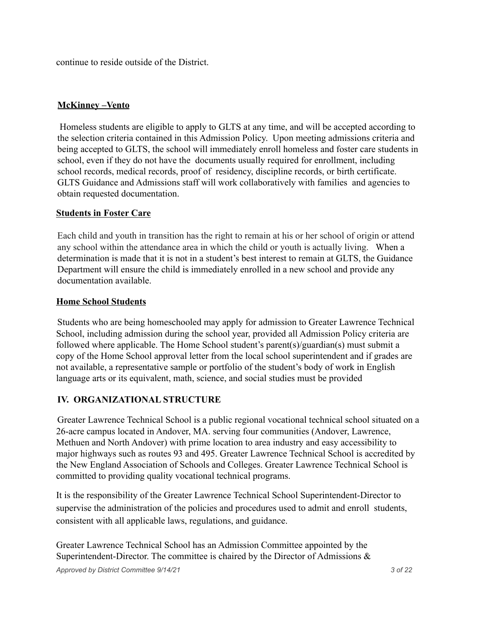continue to reside outside of the District.

### **McKinney –Vento**

Homeless students are eligible to apply to GLTS at any time, and will be accepted according to the selection criteria contained in this Admission Policy. Upon meeting admissions criteria and being accepted to GLTS, the school will immediately enroll homeless and foster care students in school, even if they do not have the documents usually required for enrollment, including school records, medical records, proof of residency, discipline records, or birth certificate. GLTS Guidance and Admissions staff will work collaboratively with families and agencies to obtain requested documentation.

#### **Students in Foster Care**

Each child and youth in transition has the right to remain at his or her school of origin or attend any school within the attendance area in which the child or youth is actually living. When a determination is made that it is not in a student's best interest to remain at GLTS, the Guidance Department will ensure the child is immediately enrolled in a new school and provide any documentation available.

#### **Home School Students**

Students who are being homeschooled may apply for admission to Greater Lawrence Technical School, including admission during the school year, provided all Admission Policy criteria are followed where applicable. The Home School student's parent(s)/guardian(s) must submit a copy of the Home School approval letter from the local school superintendent and if grades are not available, a representative sample or portfolio of the student's body of work in English language arts or its equivalent, math, science, and social studies must be provided

#### **IV. ORGANIZATIONAL STRUCTURE**

Greater Lawrence Technical School is a public regional vocational technical school situated on a 26-acre campus located in Andover, MA. serving four communities (Andover, Lawrence, Methuen and North Andover) with prime location to area industry and easy accessibility to major highways such as routes 93 and 495. Greater Lawrence Technical School is accredited by the New England Association of Schools and Colleges. Greater Lawrence Technical School is committed to providing quality vocational technical programs.

It is the responsibility of the Greater Lawrence Technical School Superintendent-Director to supervise the administration of the policies and procedures used to admit and enroll students, consistent with all applicable laws, regulations, and guidance.

Greater Lawrence Technical School has an Admission Committee appointed by the Superintendent-Director. The committee is chaired by the Director of Admissions  $\&$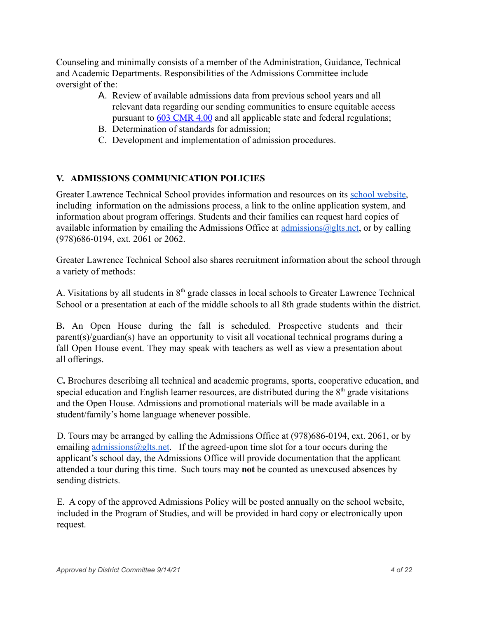Counseling and minimally consists of a member of the Administration, Guidance, Technical and Academic Departments. Responsibilities of the Admissions Committee include oversight of the:

- A. Review of available admissions data from previous school years and all relevant data regarding our sending communities to ensure equitable access pursuant to 603 CMR 4.00 and all applicable state and federal regulations;
- B. Determination of standards for admission;
- C. Development and implementation of admission procedures.

## **V. ADMISSIONS COMMUNICATION POLICIES**

Greater Lawrence Technical School provides information and resources on its school website, including information on the admissions process, a link to the online application system, and information about program offerings. Students and their families can request hard copies of available information by emailing the Admissions Office at admissions  $\omega$ glts.net, or by calling (978)686-0194, ext. 2061 or 2062.

Greater Lawrence Technical School also shares recruitment information about the school through a variety of methods:

A. Visitations by all students in 8th grade classes in local schools to Greater Lawrence Technical School or a presentation at each of the middle schools to all 8th grade students within the district.

B**.** An Open House during the fall is scheduled. Prospective students and their parent(s)/guardian(s) have an opportunity to visit all vocational technical programs during a fall Open House event. They may speak with teachers as well as view a presentation about all offerings.

C**.** Brochures describing all technical and academic programs, sports, cooperative education, and special education and English learner resources, are distributed during the  $8<sup>th</sup>$  grade visitations and the Open House. Admissions and promotional materials will be made available in a student/family's home language whenever possible.

D. Tours may be arranged by calling the Admissions Office at (978)686-0194, ext. 2061, or by emailing admissions  $\omega$ glts, net. If the agreed-upon time slot for a tour occurs during the applicant's school day, the Admissions Office will provide documentation that the applicant attended a tour during this time. Such tours may **not** be counted as unexcused absences by sending districts.

E. A copy of the approved Admissions Policy will be posted annually on the school website, included in the Program of Studies, and will be provided in hard copy or electronically upon request.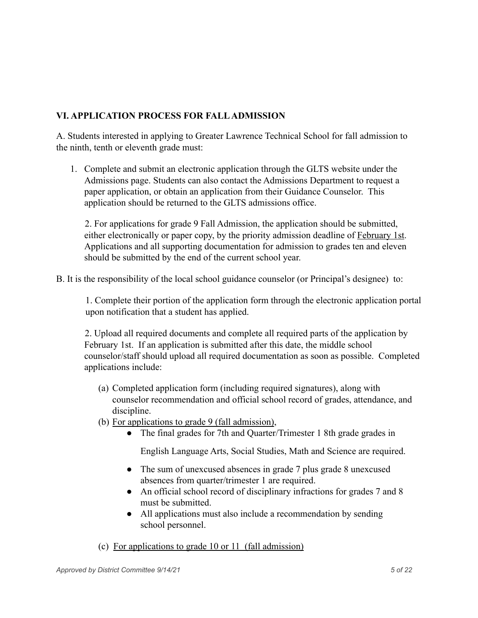## **VI. APPLICATION PROCESS FOR FALLADMISSION**

A. Students interested in applying to Greater Lawrence Technical School for fall admission to the ninth, tenth or eleventh grade must:

1. Complete and submit an electronic application through the GLTS website under the Admissions page. Students can also contact the Admissions Department to request a paper application, or obtain an application from their Guidance Counselor. This application should be returned to the GLTS admissions office.

2. For applications for grade 9 Fall Admission, the application should be submitted, either electronically or paper copy, by the priority admission deadline of February 1st. Applications and all supporting documentation for admission to grades ten and eleven should be submitted by the end of the current school year.

B. It is the responsibility of the local school guidance counselor (or Principal's designee) to:

1. Complete their portion of the application form through the electronic application portal upon notification that a student has applied.

2. Upload all required documents and complete all required parts of the application by February 1st. If an application is submitted after this date, the middle school counselor/staff should upload all required documentation as soon as possible. Completed applications include:

- (a) Completed application form (including required signatures), along with counselor recommendation and official school record of grades, attendance, and discipline.
- (b) For applications to grade 9 (fall admission),
	- The final grades for 7th and Quarter/Trimester 1 8th grade grades in

English Language Arts, Social Studies, Math and Science are required.

- The sum of unexcused absences in grade 7 plus grade 8 unexcused absences from quarter/trimester 1 are required.
- An official school record of disciplinary infractions for grades 7 and 8 must be submitted.
- All applications must also include a recommendation by sending school personnel.
- (c) For applications to grade 10 or 11 (fall admission)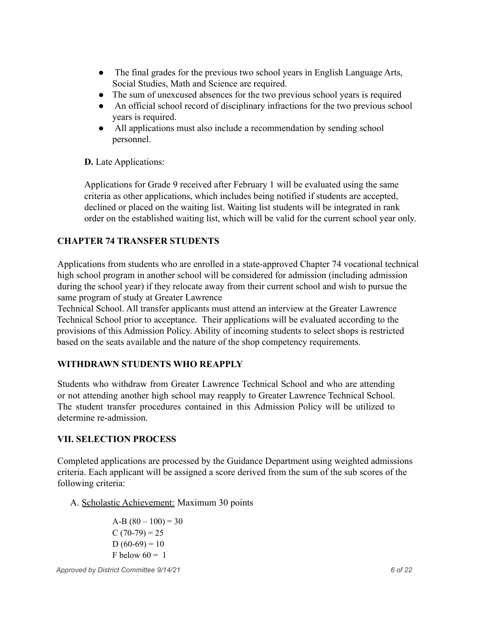- The final grades for the previous two school years in English Language Arts, Social Studies, Math and Science are required.
- The sum of unexcused absences for the two previous school years is required
- An official school record of disciplinary infractions for the two previous school years is required.
- All applications must also include a recommendation by sending school personnel.

#### **D.** Late Applications:

Applications for Grade 9 received after February 1 will be evaluated using the same criteria as other applications, which includes being notified if students are accepted, declined or placed on the waiting list. Waiting list students will be integrated in rank order on the established waiting list, which will be valid for the current school year only.

## **CHAPTER 74 TRANSFER STUDENTS**

Applications from students who are enrolled in a state-approved Chapter 74 vocational technical high school program in another school will be considered for admission (including admission during the school year) if they relocate away from their current school and wish to pursue the same program of study at Greater Lawrence

Technical School. All transfer applicants must attend an interview at the Greater Lawrence Technical School prior to acceptance. Their applications will be evaluated according to the provisions of this Admission Policy. Ability of incoming students to select shops is restricted based on the seats available and the nature of the shop competency requirements.

#### **WITHDRAWN STUDENTS WHO REAPPLY**

Students who withdraw from Greater Lawrence Technical School and who are attending or not attending another high school may reapply to Greater Lawrence Technical School. The student transfer procedures contained in this Admission Policy will be utilized to determine re-admission.

#### **VII. SELECTION PROCESS**

Completed applications are processed by the Guidance Department using weighted admissions criteria. Each applicant will be assigned a score derived from the sum of the sub scores of the following criteria:

A. Scholastic Achievement: Maximum 30 points

A-B  $(80 - 100) = 30$  $C (70-79) = 25$  $D(60-69) = 10$ F below  $60 = 1$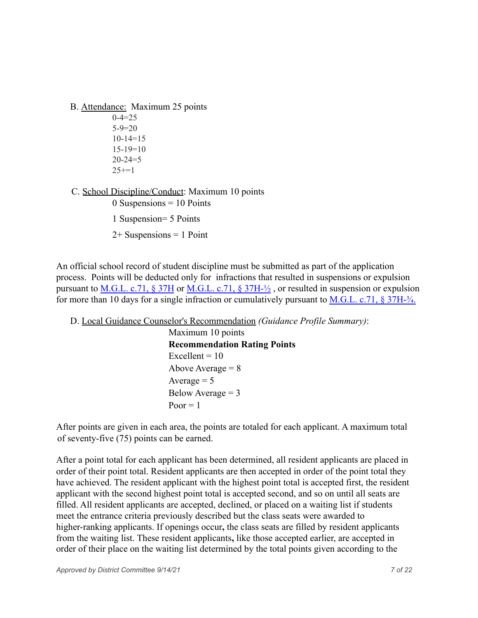B. Attendance: Maximum 25 points

 $0 - 4 = 25$  $5-9=20$ 10-14=15  $15-19=10$  $20 - 24 = 5$  $25 == 1$ 

C. School Discipline/Conduct: Maximum 10 points

 $0$  Suspensions = 10 Points 1 Suspension= 5 Points  $2+$  Suspensions = 1 Point

An official school record of student discipline must be submitted as part of the application process. Points will be deducted only for infractions that resulted in suspensions or expulsion pursuant to M.G.L. c.71,  $\S 37H$  or M.G.L. c.71,  $\S 37H<sup>2</sup>/2$ , or resulted in suspension or expulsion for more than 10 days for a single infraction or cumulatively pursuant to  $M.G.L. c.71$ ,  $\S 37H-<sup>3</sup>/<sub>4</sub>$ .

```
D. Local Guidance Counselor's Recommendation (Guidance Profile Summary):
           Maximum 10 points
           Recommendation Rating Points
           Excellent = 10Above Average = 8Average = 5Below Average = 3Poor = 1
```
After points are given in each area, the points are totaled for each applicant. A maximum total of seventy-five (75) points can be earned.

After a point total for each applicant has been determined, all resident applicants are placed in order of their point total. Resident applicants are then accepted in order of the point total they have achieved. The resident applicant with the highest point total is accepted first, the resident applicant with the second highest point total is accepted second, and so on until all seats are filled. All resident applicants are accepted, declined, or placed on a waiting list if students meet the entrance criteria previously described but the class seats were awarded to higher-ranking applicants. If openings occur**,** the class seats are filled by resident applicants from the waiting list. These resident applicants**,** like those accepted earlier, are accepted in order of their place on the waiting list determined by the total points given according to the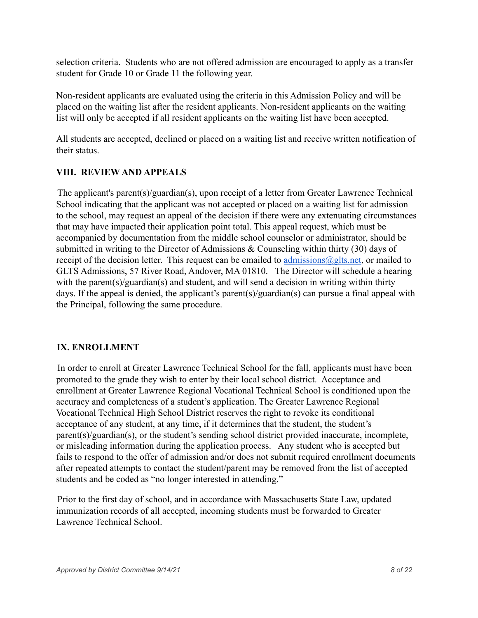selection criteria. Students who are not offered admission are encouraged to apply as a transfer student for Grade 10 or Grade 11 the following year.

Non-resident applicants are evaluated using the criteria in this Admission Policy and will be placed on the waiting list after the resident applicants. Non-resident applicants on the waiting list will only be accepted if all resident applicants on the waiting list have been accepted.

All students are accepted, declined or placed on a waiting list and receive written notification of their status.

### **VIII. REVIEW AND APPEALS**

The applicant's parent(s)/guardian(s), upon receipt of a letter from Greater Lawrence Technical School indicating that the applicant was not accepted or placed on a waiting list for admission to the school, may request an appeal of the decision if there were any extenuating circumstances that may have impacted their application point total. This appeal request, which must be accompanied by documentation from the middle school counselor or administrator, should be submitted in writing to the Director of Admissions & Counseling within thirty (30) days of receipt of the decision letter. This request can be emailed to admissions  $@glts.net$ , or mailed to GLTS Admissions, 57 River Road, Andover, MA 01810. The Director will schedule a hearing with the parent(s)/guardian(s) and student, and will send a decision in writing within thirty days. If the appeal is denied, the applicant's parent(s)/guardian(s) can pursue a final appeal with the Principal, following the same procedure.

## **IX. ENROLLMENT**

In order to enroll at Greater Lawrence Technical School for the fall, applicants must have been promoted to the grade they wish to enter by their local school district. Acceptance and enrollment at Greater Lawrence Regional Vocational Technical School is conditioned upon the accuracy and completeness of a student's application. The Greater Lawrence Regional Vocational Technical High School District reserves the right to revoke its conditional acceptance of any student, at any time, if it determines that the student, the student's parent(s)/guardian(s), or the student's sending school district provided inaccurate, incomplete, or misleading information during the application process. Any student who is accepted but fails to respond to the offer of admission and/or does not submit required enrollment documents after repeated attempts to contact the student/parent may be removed from the list of accepted students and be coded as "no longer interested in attending."

Prior to the first day of school, and in accordance with Massachusetts State Law, updated immunization records of all accepted, incoming students must be forwarded to Greater Lawrence Technical School.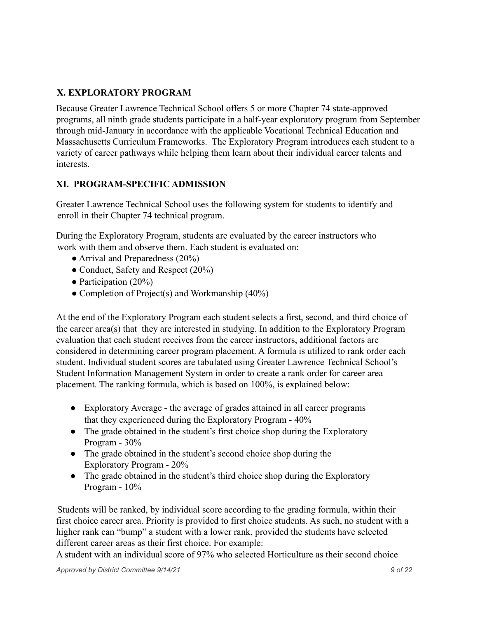## **X. EXPLORATORY PROGRAM**

Because Greater Lawrence Technical School offers 5 or more Chapter 74 state-approved programs, all ninth grade students participate in a half-year exploratory program from September through mid-January in accordance with the applicable Vocational Technical Education and Massachusetts Curriculum Frameworks. The Exploratory Program introduces each student to a variety of career pathways while helping them learn about their individual career talents and interests.

## **XI. PROGRAM-SPECIFIC ADMISSION**

Greater Lawrence Technical School uses the following system for students to identify and enroll in their Chapter 74 technical program.

During the Exploratory Program, students are evaluated by the career instructors who work with them and observe them. Each student is evaluated on:

- Arrival and Preparedness (20%)
- Conduct, Safety and Respect (20%)
- Participation  $(20\%)$
- Completion of Project(s) and Workmanship (40%)

At the end of the Exploratory Program each student selects a first, second, and third choice of the career area(s) that they are interested in studying. In addition to the Exploratory Program evaluation that each student receives from the career instructors, additional factors are considered in determining career program placement. A formula is utilized to rank order each student. Individual student scores are tabulated using Greater Lawrence Technical School's Student Information Management System in order to create a rank order for career area placement. The ranking formula, which is based on 100%, is explained below:

- Exploratory Average the average of grades attained in all career programs that they experienced during the Exploratory Program - 40%
- The grade obtained in the student's first choice shop during the Exploratory Program - 30%
- The grade obtained in the student's second choice shop during the Exploratory Program - 20%
- The grade obtained in the student's third choice shop during the Exploratory Program - 10%

Students will be ranked, by individual score according to the grading formula, within their first choice career area. Priority is provided to first choice students. As such, no student with a higher rank can "bump" a student with a lower rank, provided the students have selected different career areas as their first choice. For example:

A student with an individual score of 97% who selected Horticulture as their second choice